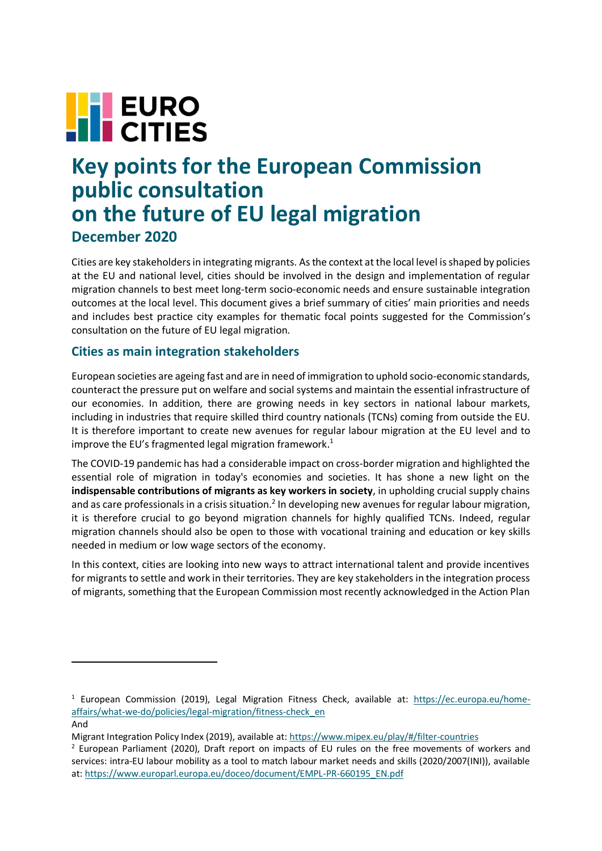# **FEURO**

# **Key points for the European Commission public consultation on the future of EU legal migration December 2020**

Cities are key stakeholders in integrating migrants. As the context at the local level is shaped by policies at the EU and national level, cities should be involved in the design and implementation of regular migration channels to best meet long-term socio-economic needs and ensure sustainable integration outcomes at the local level. This document gives a brief summary of cities' main priorities and needs and includes best practice city examples for thematic focal points suggested for the Commission's consultation on the future of EU legal migration.

# **Cities as main integration stakeholders**

European societies are ageing fast and are in need of immigration to uphold socio-economic standards, counteract the pressure put on welfare and social systems and maintain the essential infrastructure of our economies. In addition, there are growing needs in key sectors in national labour markets, including in industries that require skilled third country nationals (TCNs) coming from outside the EU. It is therefore important to create new avenues for regular labour migration at the EU level and to improve the EU's fragmented legal migration framework. 1

The COVID-19 pandemic has had a considerable impact on cross-border migration and highlighted the essential role of migration in today's economies and societies. It has shone a new light on the **indispensable contributions of migrants as key workers in society**, in upholding crucial supply chains and as care professionals in a crisis situation.<sup>2</sup> In developing new avenues for regular labour migration, it is therefore crucial to go beyond migration channels for highly qualified TCNs. Indeed, regular migration channels should also be open to those with vocational training and education or key skills needed in medium or low wage sectors of the economy.

In this context, cities are looking into new ways to attract international talent and provide incentives for migrants to settle and work in their territories. They are key stakeholders in the integration process of migrants, something that the European Commission most recently acknowledged in the Action Plan

 $1$  European Commission (2019), Legal Migration Fitness Check, available at: [https://ec.europa.eu/home](https://ec.europa.eu/home-affairs/what-we-do/policies/legal-migration/fitness-check_en)[affairs/what-we-do/policies/legal-migration/fitness-check\\_en](https://ec.europa.eu/home-affairs/what-we-do/policies/legal-migration/fitness-check_en)

And

Migrant Integration Policy Index (2019), available at[: https://www.mipex.eu/play/#/filter-countries](https://www.mipex.eu/play/#/filter-countries)

<sup>2</sup> European Parliament (2020), Draft report on impacts of EU rules on the free movements of workers and services: intra-EU labour mobility as a tool to match labour market needs and skills (2020/2007(INI)), available at: [https://www.europarl.europa.eu/doceo/document/EMPL-PR-660195\\_EN.pdf](https://www.europarl.europa.eu/doceo/document/EMPL-PR-660195_EN.pdf)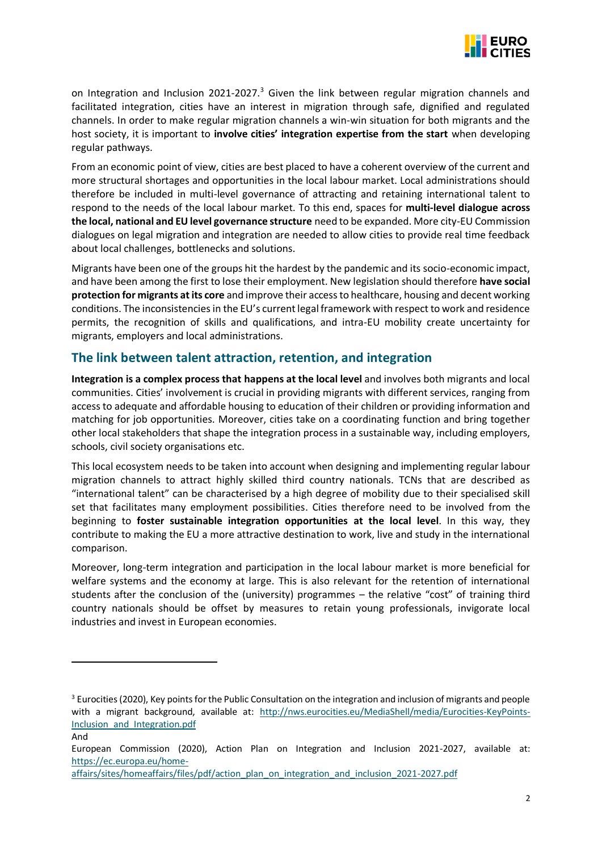

on Integration and Inclusion 2021-2027.<sup>3</sup> Given the link between regular migration channels and facilitated integration, cities have an interest in migration through safe, dignified and regulated channels. In order to make regular migration channels a win-win situation for both migrants and the host society, it is important to **involve cities' integration expertise from the start** when developing regular pathways.

From an economic point of view, cities are best placed to have a coherent overview of the current and more structural shortages and opportunities in the local labour market. Local administrations should therefore be included in multi-level governance of attracting and retaining international talent to respond to the needs of the local labour market. To this end, spaces for **multi-level dialogue across the local, national and EU level governance structure** need to be expanded. More city-EU Commission dialogues on legal migration and integration are needed to allow cities to provide real time feedback about local challenges, bottlenecks and solutions.

Migrants have been one of the groups hit the hardest by the pandemic and its socio-economic impact, and have been among the first to lose their employment. New legislation should therefore **have social protection for migrants at its core** and improve their access to healthcare, housing and decent working conditions. The inconsistencies in the EU's current legal framework with respect to work and residence permits, the recognition of skills and qualifications, and intra-EU mobility create uncertainty for migrants, employers and local administrations.

## **The link between talent attraction, retention, and integration**

**Integration is a complex process that happens at the local level** and involves both migrants and local communities. Cities' involvement is crucial in providing migrants with different services, ranging from access to adequate and affordable housing to education of their children or providing information and matching for job opportunities. Moreover, cities take on a coordinating function and bring together other local stakeholders that shape the integration process in a sustainable way, including employers, schools, civil society organisations etc.

This local ecosystem needs to be taken into account when designing and implementing regular labour migration channels to attract highly skilled third country nationals. TCNs that are described as "international talent" can be characterised by a high degree of mobility due to their specialised skill set that facilitates many employment possibilities. Cities therefore need to be involved from the beginning to **foster sustainable integration opportunities at the local level**. In this way, they contribute to making the EU a more attractive destination to work, live and study in the international comparison.

Moreover, long-term integration and participation in the local labour market is more beneficial for welfare systems and the economy at large. This is also relevant for the retention of international students after the conclusion of the (university) programmes – the relative "cost" of training third country nationals should be offset by measures to retain young professionals, invigorate local industries and invest in European economies.

And

<sup>&</sup>lt;sup>3</sup> Eurocities (2020), Key points for the Public Consultation on the integration and inclusion of migrants and people with a migrant background, available at: [http://nws.eurocities.eu/MediaShell/media/Eurocities-KeyPoints-](http://nws.eurocities.eu/MediaShell/media/Eurocities-KeyPoints-Inclusion_and_Integration.pdf)[Inclusion\\_and\\_Integration.pdf](http://nws.eurocities.eu/MediaShell/media/Eurocities-KeyPoints-Inclusion_and_Integration.pdf)

European Commission (2020), Action Plan on Integration and Inclusion 2021-2027, available at: [https://ec.europa.eu/home-](https://ec.europa.eu/home-affairs/sites/homeaffairs/files/pdf/action_plan_on_integration_and_inclusion_2021-2027.pdf)

[affairs/sites/homeaffairs/files/pdf/action\\_plan\\_on\\_integration\\_and\\_inclusion\\_2021-2027.pdf](https://ec.europa.eu/home-affairs/sites/homeaffairs/files/pdf/action_plan_on_integration_and_inclusion_2021-2027.pdf)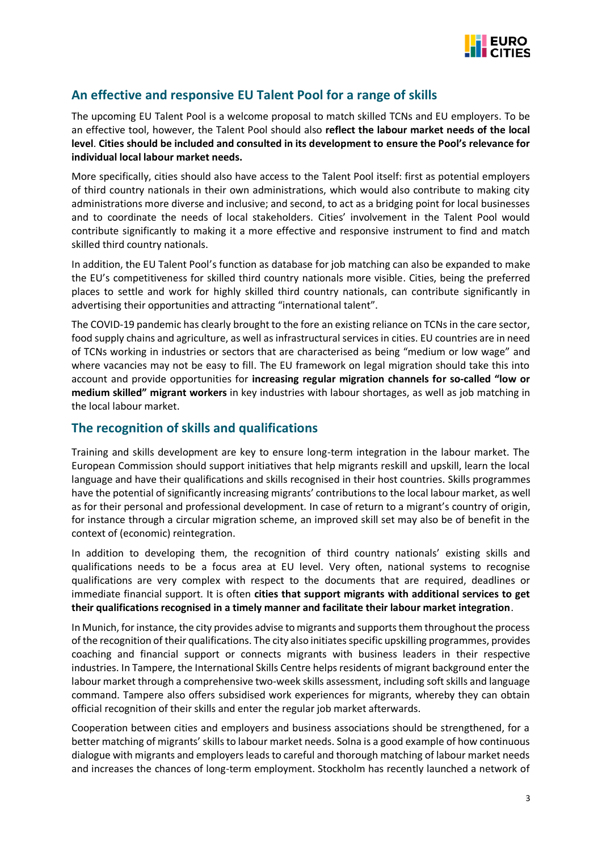

# **An effective and responsive EU Talent Pool for a range of skills**

The upcoming EU Talent Pool is a welcome proposal to match skilled TCNs and EU employers. To be an effective tool, however, the Talent Pool should also **reflect the labour market needs of the local level**. **Cities should be included and consulted in its development to ensure the Pool's relevance for individual local labour market needs.**

More specifically, cities should also have access to the Talent Pool itself: first as potential employers of third country nationals in their own administrations, which would also contribute to making city administrations more diverse and inclusive; and second, to act as a bridging point for local businesses and to coordinate the needs of local stakeholders. Cities' involvement in the Talent Pool would contribute significantly to making it a more effective and responsive instrument to find and match skilled third country nationals.

In addition, the EU Talent Pool's function as database for job matching can also be expanded to make the EU's competitiveness for skilled third country nationals more visible. Cities, being the preferred places to settle and work for highly skilled third country nationals, can contribute significantly in advertising their opportunities and attracting "international talent".

The COVID-19 pandemic has clearly brought to the fore an existing reliance on TCNs in the care sector, food supply chains and agriculture, as well as infrastructural services in cities. EU countries are in need of TCNs working in industries or sectors that are characterised as being "medium or low wage" and where vacancies may not be easy to fill. The EU framework on legal migration should take this into account and provide opportunities for **increasing regular migration channels for so-called "low or medium skilled" migrant workers** in key industries with labour shortages, as well as job matching in the local labour market.

#### **The recognition of skills and qualifications**

Training and skills development are key to ensure long-term integration in the labour market. The European Commission should support initiatives that help migrants reskill and upskill, learn the local language and have their qualifications and skills recognised in their host countries. Skills programmes have the potential of significantly increasing migrants' contributions to the local labour market, as well as for their personal and professional development. In case of return to a migrant's country of origin, for instance through a circular migration scheme, an improved skill set may also be of benefit in the context of (economic) reintegration.

In addition to developing them, the recognition of third country nationals' existing skills and qualifications needs to be a focus area at EU level. Very often, national systems to recognise qualifications are very complex with respect to the documents that are required, deadlines or immediate financial support. It is often **cities that support migrants with additional services to get their qualifications recognised in a timely manner and facilitate their labour market integration**.

In Munich, for instance, the city provides advise to migrants and supports them throughout the process of the recognition of their qualifications. The city also initiates specific upskilling programmes, provides coaching and financial support or connects migrants with business leaders in their respective industries. In Tampere, the International Skills Centre helps residents of migrant background enter the labour market through a comprehensive two-week skills assessment, including soft skills and language command. Tampere also offers subsidised work experiences for migrants, whereby they can obtain official recognition of their skills and enter the regular job market afterwards.

Cooperation between cities and employers and business associations should be strengthened, for a better matching of migrants' skills to labour market needs. Solna is a good example of how continuous dialogue with migrants and employers leads to careful and thorough matching of labour market needs and increases the chances of long-term employment. Stockholm has recently launched a network of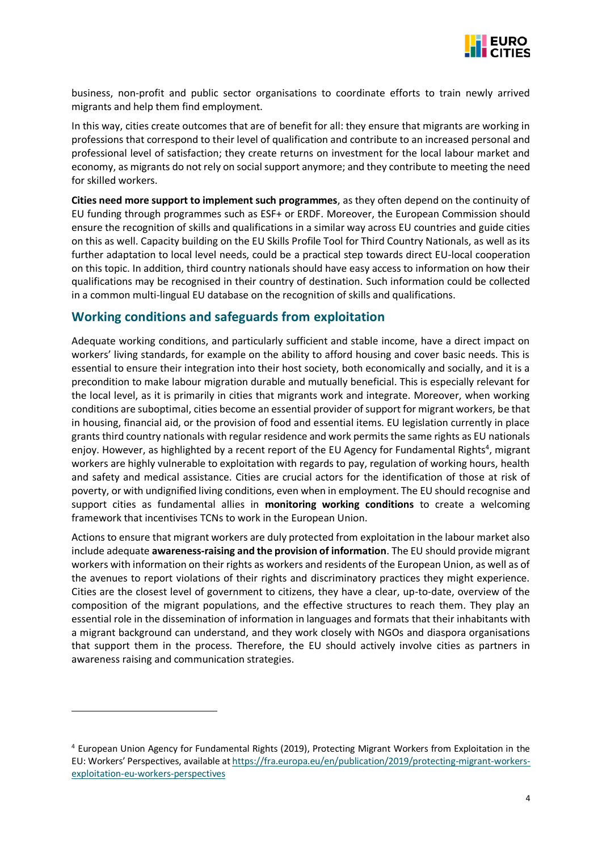

business, non-profit and public sector organisations to coordinate efforts to train newly arrived migrants and help them find employment.

In this way, cities create outcomes that are of benefit for all: they ensure that migrants are working in professions that correspond to their level of qualification and contribute to an increased personal and professional level of satisfaction; they create returns on investment for the local labour market and economy, as migrants do not rely on social support anymore; and they contribute to meeting the need for skilled workers.

**Cities need more support to implement such programmes**, as they often depend on the continuity of EU funding through programmes such as ESF+ or ERDF. Moreover, the European Commission should ensure the recognition of skills and qualifications in a similar way across EU countries and guide cities on this as well. Capacity building on the EU Skills Profile Tool for Third Country Nationals, as well as its further adaptation to local level needs, could be a practical step towards direct EU-local cooperation on this topic. In addition, third country nationals should have easy access to information on how their qualifications may be recognised in their country of destination. Such information could be collected in a common multi-lingual EU database on the recognition of skills and qualifications.

#### **Working conditions and safeguards from exploitation**

Adequate working conditions, and particularly sufficient and stable income, have a direct impact on workers' living standards, for example on the ability to afford housing and cover basic needs. This is essential to ensure their integration into their host society, both economically and socially, and it is a precondition to make labour migration durable and mutually beneficial. This is especially relevant for the local level, as it is primarily in cities that migrants work and integrate. Moreover, when working conditions are suboptimal, cities become an essential provider of support for migrant workers, be that in housing, financial aid, or the provision of food and essential items. EU legislation currently in place grants third country nationals with regular residence and work permits the same rights as EU nationals enjoy. However, as highlighted by a recent report of the EU Agency for Fundamental Rights<sup>4</sup>, migrant workers are highly vulnerable to exploitation with regards to pay, regulation of working hours, health and safety and medical assistance. Cities are crucial actors for the identification of those at risk of poverty, or with undignified living conditions, even when in employment. The EU should recognise and support cities as fundamental allies in **monitoring working conditions** to create a welcoming framework that incentivises TCNs to work in the European Union.

Actions to ensure that migrant workers are duly protected from exploitation in the labour market also include adequate **awareness-raising and the provision of information**. The EU should provide migrant workers with information on their rights as workers and residents of the European Union, as well as of the avenues to report violations of their rights and discriminatory practices they might experience. Cities are the closest level of government to citizens, they have a clear, up-to-date, overview of the composition of the migrant populations, and the effective structures to reach them. They play an essential role in the dissemination of information in languages and formats that their inhabitants with a migrant background can understand, and they work closely with NGOs and diaspora organisations that support them in the process. Therefore, the EU should actively involve cities as partners in awareness raising and communication strategies.

<sup>4</sup> European Union Agency for Fundamental Rights (2019), Protecting Migrant Workers from Exploitation in the EU: Workers' Perspectives, available a[t https://fra.europa.eu/en/publication/2019/protecting-migrant-workers](https://fra.europa.eu/en/publication/2019/protecting-migrant-workers-exploitation-eu-workers-perspectives)[exploitation-eu-workers-perspectives](https://fra.europa.eu/en/publication/2019/protecting-migrant-workers-exploitation-eu-workers-perspectives)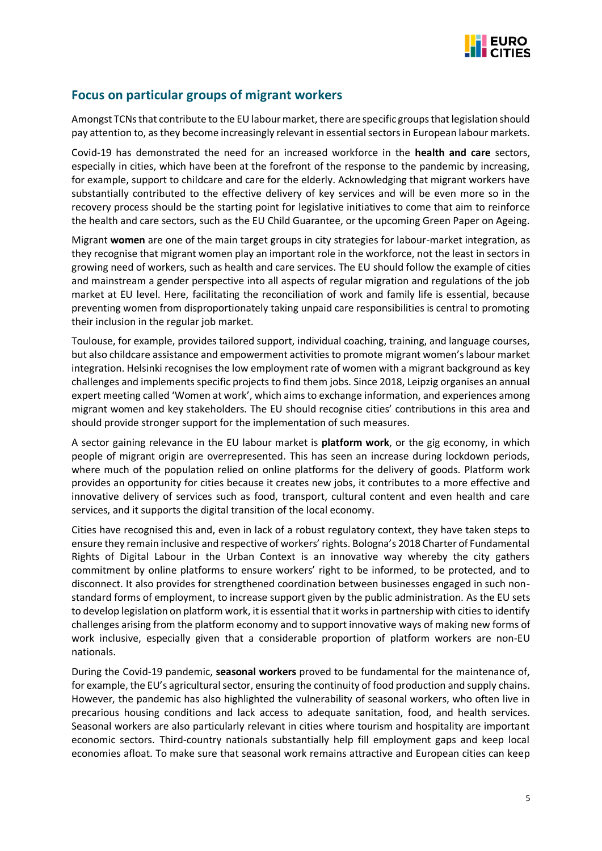

## **Focus on particular groups of migrant workers**

Amongst TCNs that contribute to the EU labour market, there are specific groups that legislation should pay attention to, as they become increasingly relevant in essential sectors in European labour markets.

Covid-19 has demonstrated the need for an increased workforce in the **health and care** sectors, especially in cities, which have been at the forefront of the response to the pandemic by increasing, for example, support to childcare and care for the elderly. Acknowledging that migrant workers have substantially contributed to the effective delivery of key services and will be even more so in the recovery process should be the starting point for legislative initiatives to come that aim to reinforce the health and care sectors, such as the EU Child Guarantee, or the upcoming Green Paper on Ageing.

Migrant **women** are one of the main target groups in city strategies for labour-market integration, as they recognise that migrant women play an important role in the workforce, not the least in sectors in growing need of workers, such as health and care services. The EU should follow the example of cities and mainstream a gender perspective into all aspects of regular migration and regulations of the job market at EU level. Here, facilitating the reconciliation of work and family life is essential, because preventing women from disproportionately taking unpaid care responsibilities is central to promoting their inclusion in the regular job market.

Toulouse, for example, provides tailored support, individual coaching, training, and language courses, but also childcare assistance and empowerment activities to promote migrant women's labour market integration. Helsinki recognises the low employment rate of women with a migrant background as key challenges and implements specific projects to find them jobs. Since 2018, Leipzig organises an annual expert meeting called 'Women at work', which aims to exchange information, and experiences among migrant women and key stakeholders. The EU should recognise cities' contributions in this area and should provide stronger support for the implementation of such measures.

A sector gaining relevance in the EU labour market is **platform work**, or the gig economy, in which people of migrant origin are overrepresented. This has seen an increase during lockdown periods, where much of the population relied on online platforms for the delivery of goods. Platform work provides an opportunity for cities because it creates new jobs, it contributes to a more effective and innovative delivery of services such as food, transport, cultural content and even health and care services, and it supports the digital transition of the local economy.

Cities have recognised this and, even in lack of a robust regulatory context, they have taken steps to ensure they remain inclusive and respective of workers' rights. Bologna's 2018 Charter of Fundamental Rights of Digital Labour in the Urban Context is an innovative way whereby the city gathers commitment by online platforms to ensure workers' right to be informed, to be protected, and to disconnect. It also provides for strengthened coordination between businesses engaged in such nonstandard forms of employment, to increase support given by the public administration. As the EU sets to develop legislation on platform work, it is essential that it works in partnership with cities to identify challenges arising from the platform economy and to support innovative ways of making new forms of work inclusive, especially given that a considerable proportion of platform workers are non-EU nationals.

During the Covid-19 pandemic, **seasonal workers** proved to be fundamental for the maintenance of, for example, the EU's agricultural sector, ensuring the continuity of food production and supply chains. However, the pandemic has also highlighted the vulnerability of seasonal workers, who often live in precarious housing conditions and lack access to adequate sanitation, food, and health services. Seasonal workers are also particularly relevant in cities where tourism and hospitality are important economic sectors. Third-country nationals substantially help fill employment gaps and keep local economies afloat. To make sure that seasonal work remains attractive and European cities can keep